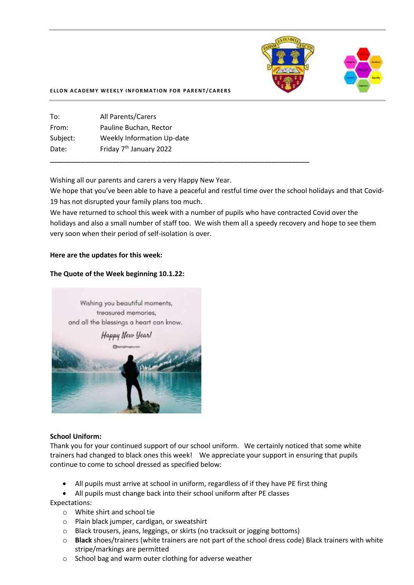

#### **ELLON ACADEMY WEEKLY INFORMATION FOR PARENT/CARERS**

To: All Parents/Carers From: Pauline Buchan, Rector Subject: Weekly Information Up-date Date: Friday 7<sup>th</sup> January 2022

Wishing all our parents and carers a very Happy New Year.

**\_\_\_\_\_\_\_\_\_\_\_\_\_\_\_\_\_\_\_\_\_\_\_\_\_\_\_\_\_\_\_\_\_\_\_\_\_\_\_\_\_\_\_\_\_\_\_\_\_\_\_\_\_\_\_\_\_\_\_\_\_\_\_\_\_\_\_\_\_\_\_\_\_\_\_**

We hope that you've been able to have a peaceful and restful time over the school holidays and that Covid-19 has not disrupted your family plans too much.

We have returned to school this week with a number of pupils who have contracted Covid over the holidays and also a small number of staff too. We wish them all a speedy recovery and hope to see them very soon when their period of self-isolation is over.

### **Here are the updates for this week:**

#### **The Quote of the Week beginning 10.1.22:**



#### **School Uniform:**

Thank you for your continued support of our school uniform. We certainly noticed that some white trainers had changed to black ones this week! We appreciate your support in ensuring that pupils continue to come to school dressed as specified below:

• All pupils must arrive at school in uniform, regardless of if they have PE first thing

• All pupils must change back into their school uniform after PE classes

Expectations:

- o White shirt and school tie
- o Plain black jumper, cardigan, or sweatshirt
- o Black trousers, jeans, leggings, or skirts (no tracksuit or jogging bottoms)
- o **Black** shoes/trainers (white trainers are not part of the school dress code) Black trainers with white stripe/markings are permitted
- o School bag and warm outer clothing for adverse weather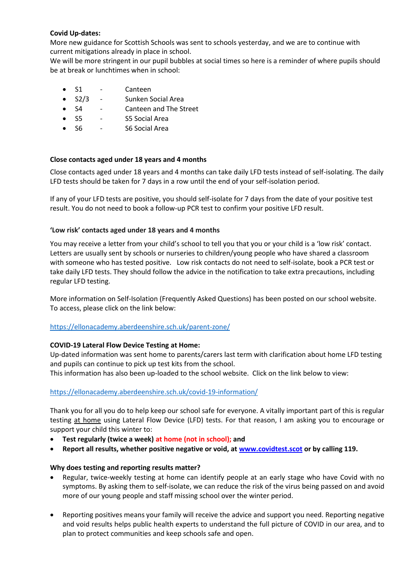## **Covid Up-dates:**

More new guidance for Scottish Schools was sent to schools yesterday, and we are to continue with current mitigations already in place in school.

We will be more stringent in our pupil bubbles at social times so here is a reminder of where pupils should be at break or lunchtimes when in school:

- S1 Canteen
- S2/3 Sunken Social Area
- S4 Canteen and The Street
- S5 S5 Social Area
- S6 S6 Social Area

## **Close contacts aged under 18 years and 4 months**

Close contacts aged under 18 years and 4 months can take daily LFD tests instead of self-isolating. The daily LFD tests should be taken for 7 days in a row until the end of your self-isolation period.

If any of your LFD tests are positive, you should self-isolate for 7 days from the date of your positive test result. You do not need to book a follow-up PCR test to confirm your positive LFD result.

## **'Low risk' contacts aged under 18 years and 4 months**

You may receive a letter from your child's school to tell you that you or your child is a 'low risk' contact. Letters are usually sent by schools or nurseries to children/young people who have shared a classroom with someone who has tested positive. Low risk contacts do not need to self-isolate, book a PCR test or take daily LFD tests. They should follow the advice in the notification to take extra precautions, including regular LFD testing.

More information on Self-Isolation (Frequently Asked Questions) has been posted on our school website. To access, please click on the link below:

## <https://ellonacademy.aberdeenshire.sch.uk/parent-zone/>

### **COVID-19 Lateral Flow Device Testing at Home:**

Up-dated information was sent home to parents/carers last term with clarification about home LFD testing and pupils can continue to pick up test kits from the school.

This information has also been up-loaded to the school website. Click on the link below to view:

## <https://ellonacademy.aberdeenshire.sch.uk/covid-19-information/>

Thank you for all you do to help keep our school safe for everyone. A vitally important part of this is regular testing at home using Lateral Flow Device (LFD) tests. For that reason, I am asking you to encourage or support your child this winter to:

- **Test regularly (twice a week) at home (not in school); and**
- **Report all results, whether positive negative or void, at [www.covidtest.scot](http://www.covidtest.scot/) or by calling 119.**

### **Why does testing and reporting results matter?**

- Regular, twice-weekly testing at home can identify people at an early stage who have Covid with no symptoms. By asking them to self-isolate, we can reduce the risk of the virus being passed on and avoid more of our young people and staff missing school over the winter period.
- Reporting positives means your family will receive the advice and support you need. Reporting negative and void results helps public health experts to understand the full picture of COVID in our area, and to plan to protect communities and keep schools safe and open.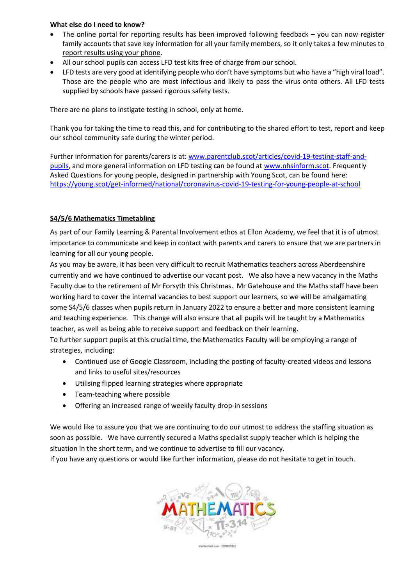## **What else do I need to know?**

- The online portal for reporting results has been improved following feedback you can now register family accounts that save key information for all your family members, so it only takes a few minutes to report results using your phone.
- All our school pupils can access LFD test kits free of charge from our school.
- LFD tests are very good at identifying people who don't have symptoms but who have a "high viral load". Those are the people who are most infectious and likely to pass the virus onto others. All LFD tests supplied by schools have passed rigorous safety tests.

There are no plans to instigate testing in school, only at home.

Thank you for taking the time to read this, and for contributing to the shared effort to test, report and keep our school community safe during the winter period.

Further information for parents/carers is at: [www.parentclub.scot/articles/covid-19-testing-staff-and](http://www.parentclub.scot/articles/covid-19-testing-staff-and-pupils)[pupils,](http://www.parentclub.scot/articles/covid-19-testing-staff-and-pupils) and more general information on LFD testing can be found a[t www.nhsinform.scot.](http://www.nhsinform.scot/) Frequently Asked Questions for young people, designed in partnership with Young Scot, can be found here: <https://young.scot/get-informed/national/coronavirus-covid-19-testing-for-young-people-at-school>

# **S4/5/6 Mathematics Timetabling**

As part of our Family Learning & Parental Involvement ethos at Ellon Academy, we feel that it is of utmost importance to communicate and keep in contact with parents and carers to ensure that we are partners in learning for all our young people.

As you may be aware, it has been very difficult to recruit Mathematics teachers across Aberdeenshire currently and we have continued to advertise our vacant post. We also have a new vacancy in the Maths Faculty due to the retirement of Mr Forsyth this Christmas. Mr Gatehouse and the Maths staff have been working hard to cover the internal vacancies to best support our learners, so we will be amalgamating some S4/5/6 classes when pupils return in January 2022 to ensure a better and more consistent learning and teaching experience. This change will also ensure that all pupils will be taught by a Mathematics teacher, as well as being able to receive support and feedback on their learning.

To further support pupils at this crucial time, the Mathematics Faculty will be employing a range of strategies, including:

- Continued use of Google Classroom, including the posting of faculty-created videos and lessons and links to useful sites/resources
- Utilising flipped learning strategies where appropriate
- Team-teaching where possible
- Offering an increased range of weekly faculty drop-in sessions

We would like to assure you that we are continuing to do our utmost to address the staffing situation as soon as possible. We have currently secured a Maths specialist supply teacher which is helping the situation in the short term, and we continue to advertise to fill our vacancy.

If you have any questions or would like further information, please do not hesitate to get in touch.

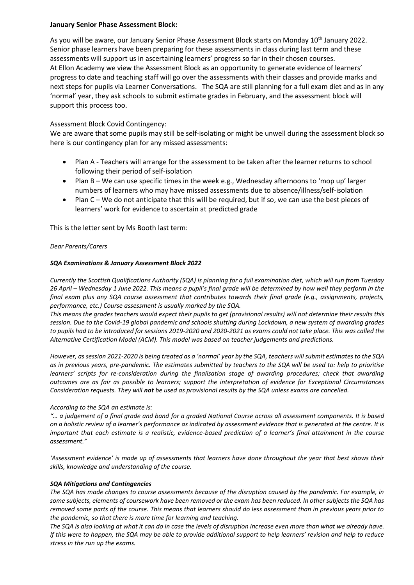## **January Senior Phase Assessment Block:**

As you will be aware, our January Senior Phase Assessment Block starts on Monday 10<sup>th</sup> January 2022. Senior phase learners have been preparing for these assessments in class during last term and these assessments will support us in ascertaining learners' progress so far in their chosen courses. At Ellon Academy we view the Assessment Block as an opportunity to generate evidence of learners' progress to date and teaching staff will go over the assessments with their classes and provide marks and next steps for pupils via Learner Conversations. The SQA are still planning for a full exam diet and as in any 'normal' year, they ask schools to submit estimate grades in February, and the assessment block will support this process too.

## Assessment Block Covid Contingency:

We are aware that some pupils may still be self-isolating or might be unwell during the assessment block so here is our contingency plan for any missed assessments:

- Plan A Teachers will arrange for the assessment to be taken after the learner returns to school following their period of self-isolation
- Plan B We can use specific times in the week e.g., Wednesday afternoons to 'mop up' larger numbers of learners who may have missed assessments due to absence/illness/self-isolation
- Plan C We do not anticipate that this will be required, but if so, we can use the best pieces of learners' work for evidence to ascertain at predicted grade

This is the letter sent by Ms Booth last term:

### *Dear Parents/Carers*

### *SQA Examinations & January Assessment Block 2022*

*Currently the Scottish Qualifications Authority (SQA) is planning for a full examination diet, which will run from Tuesday 26 April – Wednesday 1 June 2022. This means a pupil's final grade will be determined by how well they perform in the final exam plus any SQA course assessment that contributes towards their final grade (e.g., assignments, projects, performance, etc.) Course assessment is usually marked by the SQA.* 

*This means the grades teachers would expect their pupils to get (provisional results) will not determine their results this session. Due to the Covid-19 global pandemic and schools shutting during Lockdown, a new system of awarding grades to pupils had to be introduced for sessions 2019-2020 and 2020-2021 as exams could not take place. This was called the Alternative Certification Model (ACM). This model was based on teacher judgements and predictions.* 

*However, as session 2021-2020 is being treated as a 'normal' year by the SQA, teachers will submit estimates to the SQA as in previous years, pre-pandemic. The estimates submitted by teachers to the SQA will be used to: help to prioritise learners' scripts for re-consideration during the finalisation stage of awarding procedures; check that awarding outcomes are as fair as possible to learners; support the interpretation of evidence for Exceptional Circumstances Consideration requests. They will not be used as provisional results by the SQA unless exams are cancelled.*

#### *According to the SQA an estimate is:*

*"… a judgement of a final grade and band for a graded National Course across all assessment components. It is based on a holistic review of a learner's performance as indicated by assessment evidence that is generated at the centre. It is important that each estimate is a realistic, evidence-based prediction of a learner's final attainment in the course assessment."*

*'Assessment evidence' is made up of assessments that learners have done throughout the year that best shows their skills, knowledge and understanding of the course.* 

#### *SQA Mitigations and Contingencies*

*The SQA has made changes to course assessments because of the disruption caused by the pandemic. For example, in some subjects, elements of coursework have been removed or the exam has been reduced. In other subjects the SQA has removed some parts of the course. This means that learners should do less assessment than in previous years prior to the pandemic, so that there is more time for learning and teaching.* 

*The SQA is also looking at what it can do in case the levels of disruption increase even more than what we already have. If this were to happen, the SQA may be able to provide additional support to help learners' revision and help to reduce stress in the run up the exams.*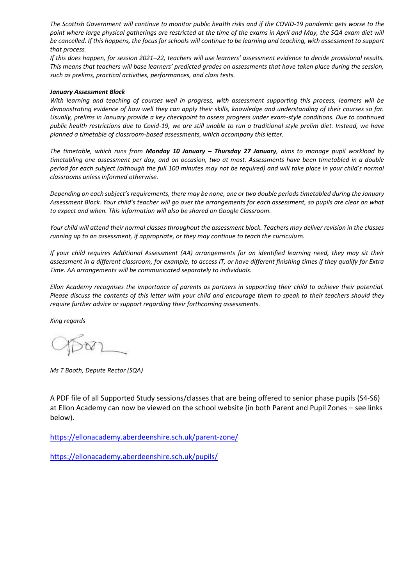*The Scottish Government will continue to monitor public health risks and if the COVID-19 pandemic gets worse to the*  point where large physical gatherings are restricted at the time of the exams in April and May, the SQA exam diet will *be cancelled. If this happens, the focus for schools will continue to be learning and teaching, with assessment to support that process.*

*If this does happen, for session 2021–22, teachers will use learners' assessment evidence to decide provisional results. This means that teachers will base learners' predicted grades on assessments that have taken place during the session, such as prelims, practical activities, performances, and class tests.*

#### *January Assessment Block*

*With learning and teaching of courses well in progress, with assessment supporting this process, learners will be demonstrating evidence of how well they can apply their skills, knowledge and understanding of their courses so far. Usually, prelims in January provide a key checkpoint to assess progress under exam-style conditions. Due to continued public health restrictions due to Covid-19, we are still unable to run a traditional style prelim diet. Instead, we have planned a timetable of classroom-based assessments, which accompany this letter.*

*The timetable, which runs from Monday 10 January – Thursday 27 January, aims to manage pupil workload by timetabling one assessment per day, and on occasion, two at most. Assessments have been timetabled in a double period for each subject (although the full 100 minutes may not be required) and will take place in your child's normal classrooms unless informed otherwise.*

*Depending on each subject's requirements, there may be none, one or two double periods timetabled during the January Assessment Block. Your child's teacher will go over the arrangements for each assessment, so pupils are clear on what to expect and when. This information will also be shared on Google Classroom.*

*Your child will attend their normal classes throughout the assessment block. Teachers may deliver revision in the classes running up to an assessment, if appropriate, or they may continue to teach the curriculum.* 

*If your child requires Additional Assessment (AA) arrangements for an identified learning need, they may sit their assessment in a different classroom, for example, to access IT, or have different finishing times if they qualify for Extra Time. AA arrangements will be communicated separately to individuals.*

*Ellon Academy recognises the importance of parents as partners in supporting their child to achieve their potential. Please discuss the contents of this letter with your child and encourage them to speak to their teachers should they require further advice or support regarding their forthcoming assessments.*

*King regards*

*Ms T Booth, Depute Rector (SQA)*

A PDF file of all Supported Study sessions/classes that are being offered to senior phase pupils (S4-S6) at Ellon Academy can now be viewed on the school website (in both Parent and Pupil Zones – see links below).

[https://ellonacademy.aberdeenshire.sch.uk/parent-zone/](https://ellonacademy.aberdeenshire.sch.uk/parent-zone/?fbclid=IwAR09MibF8CGXvUA8S-agkl_1bv2CtT2AkO0BgFg7C6Y7ApVSoqKIEDXLPMU)

[https://ellonacademy.aberdeenshire.sch.uk/pupils/](https://ellonacademy.aberdeenshire.sch.uk/pupils/?fbclid=IwAR33zbjsFvGOe_D911u_34_DovwM5iSuUr6W6pb4g8VJDqht4cYiNftO7Bo)